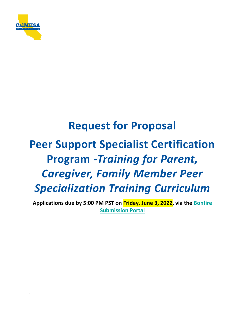

# **Request for Proposal Peer Support Specialist Certification Program** *-Training for Parent, Caregiver, Family Member Peer Specialization Training Curriculum*

**Applications due by 5:00 PM PST on Friday, June 3, 2022, via the [Bonfire](https://calmhsa.bonfirehub.com/)  [Submission Portal](https://calmhsa.bonfirehub.com/)**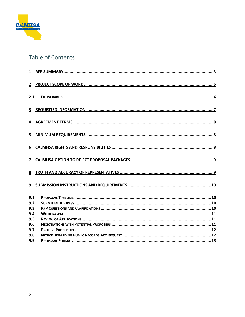

# Table of Contents

| $\overline{2}$          |  |
|-------------------------|--|
| 2.1                     |  |
| $\overline{\mathbf{3}}$ |  |
| 4                       |  |
| 5                       |  |
| 6                       |  |
| $\overline{7}$          |  |
| 8                       |  |
| 9                       |  |
| 9.1                     |  |
| 9.2                     |  |
| 9.3                     |  |
| 9.4                     |  |
| 9.5                     |  |
| 9.6                     |  |
| 9.7                     |  |
| 9.8                     |  |
| 9.9                     |  |
|                         |  |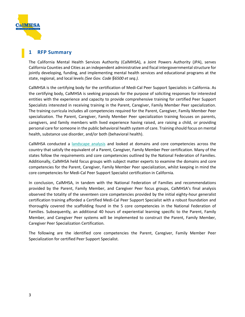

## <span id="page-2-0"></span>**1 RFP Summary**

The California Mental Health Services Authority (CalMHSA), a Joint Powers Authority (JPA), serves California Counties and Cities as an independent administrative and fiscal intergovernmental structure for jointly developing, funding, and implementing mental health services and educational programs at the state, regional, and local levels *(See Gov. Code §6500 et seq.).* 

CalMHSA is the certifying body for the certification of Medi-Cal Peer Support Specialists in California. As the certifying body, CalMHSA is seeking proposals for the purpose of soliciting responses for interested entities with the experience and capacity to provide comprehensive training for certified Peer Support Specialists interested in receiving training in the Parent, Caregiver, Family Member Peer specialization. The training curricula includes all competencies required for the Parent, Caregiver, Family Member Peer specialization. The Parent, Caregiver, Family Member Peer specialization training focuses on parents, caregivers, and family members with lived experience having raised, are raising a child, or providing personal care for someone in the public behavioral health system of care. Training should focus on mental health, substance use disorder, and/or both (behavioral health).

CalMHSA conducted a [landscape analysis](https://www.calmhsa.org/wp-content/uploads/Peer-Certification-Landscape-Analysis-Report_Final.pdf) and looked at domains and core competencies across the country that satisfy the equivalent of a Parent, Caregiver, Family Member Peer certification. Many of the states follow the requirements and core competencies outlined by the National Federation of Families. Additionally, CalMHSA held focus groups with subject matter experts to examine the domains and core competencies for the Parent, Caregiver, Family Member Peer specialization, whilst keeping in mind the core competencies for Medi-Cal Peer Support Specialist certification in California.

In conclusion, CalMHSA, in tandem with the National Federation of Families and recommendations provided by the Parent, Family Member, and Caregiver Peer focus groups, CalMHSA's final analysis observed the totality of the seventeen core competencies provided by the initial eighty-hour generalist certification training afforded a Certified Medi-Cal Peer Support Specialist with a robust foundation and thoroughly covered the scaffolding found in the 5 core competencies in the National Federation of Families. Subsequently, an additional 40 hours of experiential learning specific to the Parent, Family Member, and Caregiver Peer systems will be implemented to construct the Parent, Family Member, Caregiver Peer Specialization Certification.

The following are the identified core competencies the Parent, Caregiver, Family Member Peer Specialization for certified Peer Support Specialist.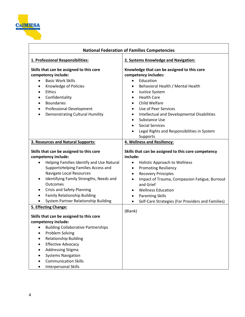

| <b>National Federation of Families Competencies</b>                                                                                                                                                                                                                                                                                                                           |                                                                                                                                                                                                                                                                                                                                                                                                                                                                                         |  |  |  |
|-------------------------------------------------------------------------------------------------------------------------------------------------------------------------------------------------------------------------------------------------------------------------------------------------------------------------------------------------------------------------------|-----------------------------------------------------------------------------------------------------------------------------------------------------------------------------------------------------------------------------------------------------------------------------------------------------------------------------------------------------------------------------------------------------------------------------------------------------------------------------------------|--|--|--|
| 1. Professional Responsibilities:                                                                                                                                                                                                                                                                                                                                             | 2. Systems Knowledge and Navigation:                                                                                                                                                                                                                                                                                                                                                                                                                                                    |  |  |  |
| Skills that can be assigned to this core<br>competency include:<br><b>Basic Work Skills</b><br>$\bullet$<br>Knowledge of Policies<br>$\bullet$<br>Ethics<br>$\bullet$<br>Confidentiality<br>$\bullet$<br><b>Boundaries</b><br>$\bullet$<br><b>Professional Development</b><br>$\bullet$<br><b>Demonstrating Cultural Humility</b><br>$\bullet$                                | Knowledge that can be assigned to this core<br>competency includes:<br>Education<br>$\bullet$<br>Behavioral Health / Mental Health<br>$\bullet$<br><b>Justice System</b><br>$\bullet$<br><b>Health Care</b><br>$\bullet$<br>Child Welfare<br>$\bullet$<br>Use of Peer Services<br>$\bullet$<br>Intellectual and Developmental Disabilities<br>$\bullet$<br>Substance Use<br>$\bullet$<br><b>Social Services</b><br>$\bullet$<br>Legal Rights and Responsibilities in System<br>Supports |  |  |  |
| 3. Resources and Natural Supports:                                                                                                                                                                                                                                                                                                                                            | 4. Wellness and Resiliency:                                                                                                                                                                                                                                                                                                                                                                                                                                                             |  |  |  |
| Skills that can be assigned to this core<br>competency include:<br>Helping Families Identify and Use Natural<br>$\bullet$<br>SupportsHelping Families Access and<br>Navigate Local Resources<br>Identifying Family Strengths, Needs and<br>Outcomes<br><b>Crisis and Safety Planning</b><br>Family Relationship Building<br>$\bullet$<br>System Partner Relationship Building | Skills that can be assigned to this core competency<br>include:<br><b>Holistic Approach to Wellness</b><br>$\bullet$<br><b>Promoting Resiliency</b><br>٠<br><b>Recovery Principles</b><br>$\bullet$<br>Impact of Trauma, Compassion Fatigue, Burnout<br>$\bullet$<br>and Grief<br><b>Wellness Education</b><br>$\bullet$<br><b>Parenting Skills</b><br>$\bullet$<br>Self-Care Strategies (For Providers and Families)<br>$\bullet$                                                      |  |  |  |
| <b>5. Effecting Change:</b><br>Skills that can be assigned to this core<br>competency include:<br><b>Building Collaborative Partnerships</b><br>$\bullet$<br>Problem Solving<br><b>Relationship Building</b><br><b>Effective Advocacy</b><br><b>Addressing Stigma</b><br><b>Systems Navigation</b><br><b>Communication Skills</b><br><b>Interpersonal Skills</b>              | (Blank)                                                                                                                                                                                                                                                                                                                                                                                                                                                                                 |  |  |  |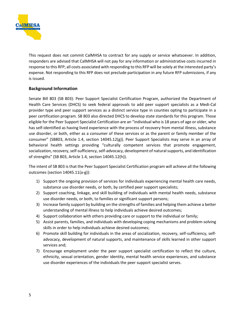

This request does not commit CalMHSA to contract for any supply or service whatsoever. In addition, responders are advised that CalMHSA will not pay for any information or administrative costs incurred in response to this RFP; all costs associated with responding to this RFP will be solely at the interested party's expense. Not responding to this RFP does not preclude participation in any future RFP submissions, if any is issued.

## **Background Information**

Senate Bill 803 (SB 803): Peer Support Specialist Certification Program, authorized the Department of Health Care Services (DHCS) to seek federal approvals to add peer support specialists as a Medi-Cal provider type and peer support services as a distinct service type in counties opting to participate in a peer certification program. SB 803 also directed DHCS to develop state standards for this program. Those eligible for the Peer Support Specialist Certification are an "individual who is 18 years of age or older, who has self-identified as having lived experience with the process of recovery from mental illness, substance use disorder, or both, either as a consumer of these services or as the parent or family member of the consumer" (SB803, Article 1.4, section 14045.12(g)). Peer Support Specialists may serve in an array of behavioral health settings providing "culturally competent services that promote engagement, socialization, recovery, self-sufficiency, self-advocacy, development of natural supports, and identification of strengths" (SB 803, Article 1.4, section 14045.12(h)).

The intent of SB 803 is that the Peer Support Specialist Certification program will achieve all the following outcomes (section 14045.11(a-g)):

- 1) Support the ongoing provision of services for individuals experiencing mental health care needs, substance use disorder needs, or both, by certified peer support specialists;
- 2) Support coaching, linkage, and skill building of individuals with mental health needs, substance use disorder needs, or both, to families or significant support persons;
- 3) Increase family support by building on the strengths of families and helping them achieve a better understanding of mental illness to help individuals achieve desired outcomes;
- 4) Support collaboration with others providing care or support to the individual or family;
- 5) Assist parents, families, and individuals with developing coping mechanisms and problem-solving skills in order to help individuals achieve desired outcomes;
- 6) Promote skill building for individuals in the areas of socialization, recovery, self-sufficiency, selfadvocacy, development of natural supports, and maintenance of skills learned in other support services and;
- 7) Encourage employment under the peer support specialist certification to reflect the culture, ethnicity, sexual orientation, gender identity, mental health service experiences, and substance use disorder experiences of the individuals the peer support specialist serves.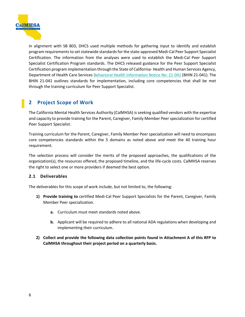

In alignment with SB 803, DHCS used multiple methods for gathering input to identify and establish program requirements to set statewide standards for the state-approved Medi-Cal Peer Support Specialist Certification. The information from the analyses were used to establish the Medi-Cal Peer Support Specialist Certification Program standards. The DHCS released guidance for the Peer Support Specialist Certification program implementation through the State of California- Health and Human Services Agency, Department of Health Care Services [Behavioral Health Information Notice No: 21-041](https://www.dhcs.ca.gov/Documents/CSD_BL/BHIN-21-041.pdf) (BHIN 21-041). The BHIN 21-041 outlines standards for implementation, including core competencies that shall be met through the training curriculum for Peer Support Specialist.

## <span id="page-5-0"></span>**2 Project Scope of Work**

The California Mental Health Services Authority (CalMHSA) is seeking qualified vendors with the expertise and capacity to provide training for the Parent, Caregiver, Family Member Peer specialization for certified Peer Support Specialist.

Training curriculum for the Parent, Caregiver, Family Member Peer specialization will need to encompass core competencies standards within the 5 domains as noted above and meet the 40 training hour requirement.

The selection process will consider the merits of the proposed approaches, the qualifications of the organization(s), the resources offered, the proposed timeline, and the life-cycle costs. CalMHSA reserves the right to select one or more providers if deemed the best option.

## <span id="page-5-1"></span>**2.1 Deliverables**

The deliverables for this scope of work include, but not limited to, the following:

- **1) Provide training to** certified Medi-Cal Peer Support Specialists for the Parent, Caregiver, Family Member Peer specialization.
	- **a.** Curriculum must meet standards noted above.
	- **b.** Applicant will be required to adhere to all national ADA regulations when developing and implementing their curriculum.
- **2) Collect and provide the following data collection points found in Attachment A of this RFP to CalMHSA throughout their project period on a quarterly basis.**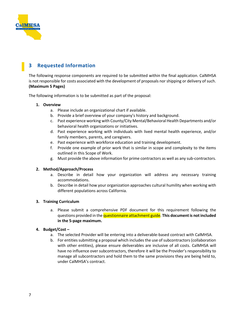

## <span id="page-6-0"></span>**3 Requested Information**

The following response components are required to be submitted within the final application. CalMHSA is not responsible for costs associated with the development of proposals nor shipping or delivery of such. **(Maximum 5 Pages)**

The following information is to be submitted as part of the proposal:

#### **1. Overview**

- a. Please include an organizational chart if available.
- b. Provide a brief overview of your company's history and background.
- c. Past experience working with County/City Mental/Behavioral Health Departments and/or behavioral health organizations or initiatives.
- d. Past experience working with individuals with lived mental health experience, and/or family members, parents, and caregivers.
- e. Past experience with workforce education and training development.
- f. Provide one example of prior work that is similar in scope and complexity to the items outlined in this Scope of Work.
- g. Must provide the above information for prime contractors as well as any sub-contractors.

#### **2. Method/Approach/Process**

- a. Describe in detail how your organization will address any necessary training accommodations.
- b. Describe in detail how your organization approaches cultural humility when working with different populations across California.

#### **3. Training Curriculum**

a. Please submit a comprehensive PDF document for this requirement following the questions provided in the questionnaire attachment guide. **This document is not included in the 5-page maximum.** 

#### **4. Budget/Cost –**

- a. The selected Provider will be entering into a deliverable-based contract with CalMHSA.
- b. For entities submitting a proposal which includes the use of subcontractors (collaboration with other entities), please ensure deliverables are inclusive of all costs. CalMHSA will have no influence over subcontractors, therefore it will be the Provider's responsibility to manage all subcontractors and hold them to the same provisions they are being held to, under CalMHSA's contract.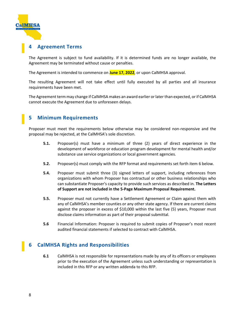

## <span id="page-7-0"></span>**4 Agreement Terms**

The Agreement is subject to fund availability. If it is determined funds are no longer available, the Agreement may be terminated without cause or penalties.

The Agreement is intended to commence on **June 17, 2022**, or upon CalMHSA approval.

The resulting Agreement will not take effect until fully executed by all parties and all insurance requirements have been met.

The Agreement term may change if CalMHSA makes an award earlier or later than expected, or if CalMHSA cannot execute the Agreement due to unforeseen delays.

## <span id="page-7-1"></span>**5 Minimum Requirements**

Proposer must meet the requirements below otherwise may be considered non-responsive and the proposal may be rejected, at the CalMHSA's sole discretion.

- **5.1.** Proposer(s) must have a minimum of three (2) years of direct experience in the development of workforce or education program development for mental health and/or substance use service organizations or local government agencies.
- **5.2.** Proposer(s) must comply with the RFP format and requirements set forth item 6 below.
- **5.4.** Proposer must submit three (3) signed letters of support, including references from organizations with whom Proposer has contractual or other business relationships who can substantiate Proposer's capacity to provide such services as described in. **The Letters of Support are not included in the 5-Page Maximum Proposal Requirement.**
- **5.5.** Proposer must not currently have a Settlement Agreement or Claim against them with any of CalMHSA's member counties or any other state agency. If there are current claims against the proposer in excess of \$10,000 within the last five (5) years, Proposer must disclose claims information as part of their proposal submittal.
- **5.6** Financial Information: Proposer is required to submit copies of Proposer's most recent audited financial statements if selected to contract with CalMHSA.

## <span id="page-7-2"></span>**6 CalMHSA Rights and Responsibilities**

**6.1** CalMHSA is not responsible for representations made by any of its officers or employees prior to the execution of the Agreement unless such understanding or representation is included in this RFP or any written addenda to this RFP.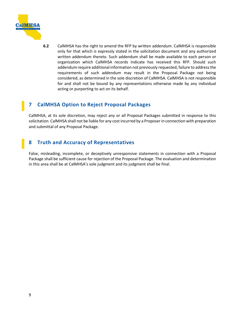

**6.2** CalMHSA has the right to amend the RFP by written addendum. CalMHSA is responsible only for that which is expressly stated in the solicitation document and any authorized written addendum thereto. Such addendum shall be made available to each person or organization which CalMHSA records indicate has received this RFP. Should such addendum require additional information not previously requested, failure to address the requirements of such addendum may result in the Proposal Package not being considered, as determined in the sole discretion of CalMHSA. CalMHSA is not responsible for and shall not be bound by any representations otherwise made by any individual acting or purporting to act on its behalf.

## <span id="page-8-0"></span>**7 CalMHSA Option to Reject Proposal Packages**

CalMHSA, at its sole discretion, may reject any or all Proposal Packages submitted in response to this solicitation. CalMHSA shall not be liable for any cost incurred by a Proposer in connection with preparation and submittal of any Proposal Package.

## <span id="page-8-1"></span>**8 Truth and Accuracy of Representatives**

False, misleading, incomplete, or deceptively unresponsive statements in connection with a Proposal Package shall be sufficient cause for rejection of the Proposal Package. The evaluation and determination in this area shall be at CalMHSA's sole judgment and its judgment shall be final.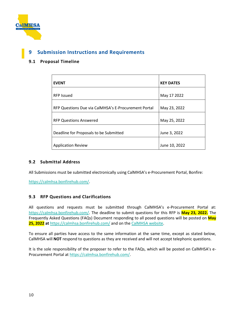

## <span id="page-9-0"></span>**9 Submission Instructions and Requirements**

## <span id="page-9-1"></span>**9.1 Proposal Timeline**

| <b>EVENT</b>                                         | <b>KEY DATES</b> |
|------------------------------------------------------|------------------|
| <b>RFP Issued</b>                                    | May 17 2022      |
| RFP Questions Due via CalMHSA's E-Procurement Portal | May 23, 2022     |
| <b>RFP Questions Answered</b>                        | May 25, 2022     |
| Deadline for Proposals to be Submitted               | June 3, 2022     |
| <b>Application Review</b>                            | June 10, 2022    |

## <span id="page-9-2"></span>**9.2 Submittal Address**

All Submissions must be submitted electronically using CalMHSA's e-Procurement Portal, Bonfire:

[https://calmhsa.bonfirehub.com/.](https://calmhsa.bonfirehub.com/)

## <span id="page-9-3"></span>**9.3 RFP Questions and Clarifications**

All questions and requests must be submitted through CalMHSA's e-Procurement Portal at: [https://calmhsa.bonfirehub.com/.](https://calmhsa.bonfirehub.com/) The deadline to submit questions for this RFP is **May 23, 2022.** The Frequently Asked Questions (FAQs) Document responding to all posed questions will be posted on **May 25, 2022 at** <https://calmhsa.bonfirehub.com/> and on th[e CalMHSA website.](https://www.calmhsa.org/peer-certification/)

To ensure all parties have access to the same information at the same time, except as stated below, CalMHSA will **NOT** respond to questions as they are received and will not accept telephonic questions.

It is the sole responsibility of the proposer to refer to the FAQs, which will be posted on CalMHSA's e-Procurement Portal at [https://calmhsa.bonfirehub.com/.](https://calmhsa.bonfirehub.com/)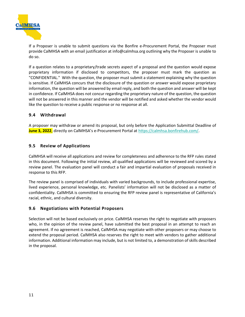

If a Proposer is unable to submit questions via the Bonfire e-Procurement Portal, the Proposer must provide CalMHSA with an email justification at info@calmhsa.org outlining why the Proposer is unable to do so.

If a question relates to a proprietary/trade secrets aspect of a proposal and the question would expose proprietary information if disclosed to competitors, the proposer must mark the question as "CONFIDENTIAL." With the question, the proposer must submit a statement explaining why the question is sensitive. If CalMHSA concurs that the disclosure of the question or answer would expose proprietary information, the question will be answered by email reply, and both the question and answer will be kept in confidence. If CalMHSA does not concur regarding the proprietary nature of the question, the question will not be answered in this manner and the vendor will be notified and asked whether the vendor would like the question to receive a public response or no response at all.

## <span id="page-10-0"></span>**9.4 Withdrawal**

A proposer may withdraw or amend its proposal, but only before the Application Submittal Deadline of **June 3, 2022**, directly on CalMHSA's e-Procurement Portal a[t https://calmhsa.bonfirehub.com/.](https://calmhsa.bonfirehub.com/)

#### <span id="page-10-1"></span>**9.5 Review of Applications**

CalMHSA will receive all applications and review for completeness and adherence to the RFP rules stated in this document. Following the initial review, all qualified applications will be reviewed and scored by a review panel. The evaluation panel will conduct a fair and impartial evaluation of proposals received in response to this RFP.

The review panel is comprised of individuals with varied backgrounds, to include professional expertise, lived experience, personal knowledge, etc. Panelists' information will not be disclosed as a matter of confidentiality. CalMHSA is committed to ensuring the RFP review panel is representative of California's racial, ethnic, and cultural diversity.

## <span id="page-10-2"></span>**9.6 Negotiations with Potential Proposers**

Selection will not be based exclusively on price. CalMHSA reserves the right to negotiate with proposers who, in the opinion of the review panel, have submitted the best proposal in an attempt to reach an agreement. If no agreement is reached, CalMHSA may negotiate with other proposers or may choose to extend the proposal period. CalMHSA also reserves the right to meet with vendors to gather additional information. Additional information may include, but is not limited to, a demonstration of skills described in the proposal.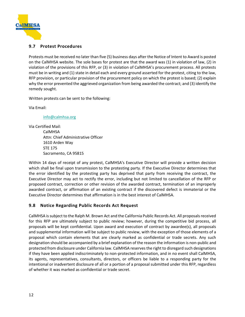

## <span id="page-11-0"></span>**9.7 Protest Procedures**

Protests must be received no later than five (5) business days after the Notice of Intent to Award is posted on the CalMHSA website. The sole bases for protest are that the award was (1) in violation of law, (2) in violation of the provisions of this RFP, or (3) in violation of CalMHSA's procurement process. All protests must be in writing and (1) state in detail each and every ground asserted for the protest, citing to the law, RFP provision, or particular provision of the procurement policy on which the protest is based; (2) explain why the error prevented the aggrieved organization from being awarded the contract; and (3) identify the remedy sought.

Written protests can be sent to the following:

Via Email:

[info@calmhsa.org](mailto:info@calmhsa.org)

Via Certified Mail: CalMHSA Attn: Chief Administrative Officer 1610 Arden Way STE 175 Sacramento, CA 95815

Within 14 days of receipt of any protest, CalMHSA's Executive Director will provide a written decision which shall be final upon transmission to the protesting party. If the Executive Director determines that the error identified by the protesting party has deprived that party from receiving the contract, the Executive Director may act to rectify the error, including but not limited to cancellation of the RFP or proposed contract, correction or other revision of the awarded contract, termination of an improperly awarded contract, or affirmation of an existing contract if the discovered defect is immaterial or the Executive Director determines that affirmation is in the best interest of CalMHSA.

## <span id="page-11-1"></span>**9.8 Notice Regarding Public Records Act Request**

CalMHSA is subject to the Ralph M. Brown Act and the California Public Records Act. All proposals received for this RFP are ultimately subject to public review; however, during the competitive bid process, all proposals will be kept confidential. Upon award and execution of contract by awardee(s), all proposals and supplemental information will be subject to public review, with the exception of those elements of a proposal which contain elements that are clearly marked as confidential or trade secrets. Any such designation should be accompanied by a brief explanation of the reason the information is non-public and protected from disclosure under California law. CalMHSA reserves the right to disregard such designations if they have been applied indiscriminately to non-protected information, and in no event shall CalMHSA, its agents, representatives, consultants, directors, or officers be liable to a responding party for the intentional or inadvertent disclosure of all or a portion of a proposal submitted under this RFP, regardless of whether it was marked as confidential or trade secret.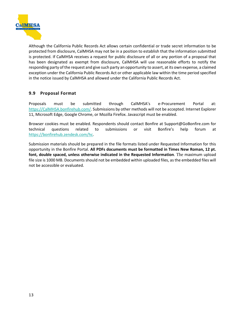

Although the California Public Records Act allows certain confidential or trade secret information to be protected from disclosure, CalMHSA may not be in a position to establish that the information submitted is protected. If CalMHSA receives a request for public disclosure of all or any portion of a proposal that has been designated as exempt from disclosure, CalMHSA will use reasonable efforts to notify the responding party of the request and give such party an opportunity to assert, at its own expense, a claimed exception under the California Public Records Act or other applicable law within the time period specified in the notice issued by CalMHSA and allowed under the California Public Records Act.

## <span id="page-12-0"></span>**9.9 Proposal Format**

Proposals must be submitted through CalMHSA's e-Procurement Portal at: [https://CalMHSA.bonfirehub.com/.](https://calmhsa.bonfirehub.com/) Submissions by other methods will not be accepted. Internet Explorer 11, Microsoft Edge, Google Chrome, or Mozilla Firefox. Javascript must be enabled.

Browser cookies must be enabled. Respondents should contact Bonfire at Support@GoBonfire.com for technical questions related to submissions or visit Bonfire's help forum at [https://bonfirehub.zendesk.com/hc.](https://bonfirehub.zendesk.com/hc)

Submission materials should be prepared in the file formats listed under Requested Information for this opportunity in the Bonfire Portal. **All PDFs documents must be formatted in Times New Roman, 12 pt. font, double spaced, unless otherwise indicated in the Requested Information**. The maximum upload file size is 1000 MB. Documents should not be embedded within uploaded files, as the embedded files will not be accessible or evaluated.